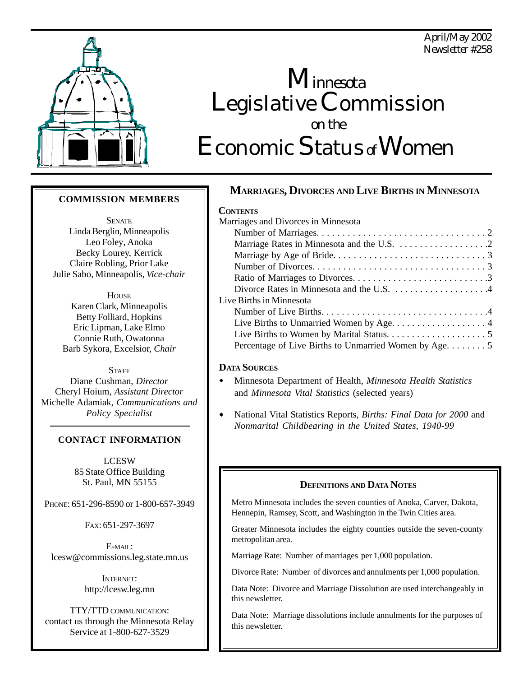*April/May 2002 Newsletter #258*



# Legislative Commission Economic Status*of* Women  *on the Minnesota*

### **COMMISSION MEMBERS**

**SENATE** Linda Berglin, Minneapolis Leo Foley*,* Anoka Becky Lourey, Kerrick Claire Robling*,* Prior Lake Julie Sabo, Minneapolis, *Vice-chair*

**HOUSE** Karen Clark, Minneapolis Betty Folliard, Hopkins Eric Lipman, Lake Elmo Connie Ruth, Owatonna Barb Sykora, Excelsior, *Chair*

**STAFF** Diane Cushman, *Director* Cheryl Hoium, *Assistant Director* Michelle Adamiak, *Communications and Policy Specialist*

### **CONTACT INFORMATION**

LCESW 85 State Office Building St. Paul, MN 55155

PHONE: 651-296-8590 or 1-800-657-3949

FAX: 651-297-3697

 $E$ -MAIL: lcesw@commissions.leg.state.mn.us

> INTERNET: http://lcesw.leg.mn

TTY/TTD COMMUNICATION: contact us through the Minnesota Relay Service at 1-800-627-3529

# **MARRIAGES, DIVORCES AND LIVE BIRTHS IN MINNESOTA**

### **CONTENTS**

| Marriages and Divorces in Minnesota                    |
|--------------------------------------------------------|
|                                                        |
|                                                        |
|                                                        |
|                                                        |
|                                                        |
| Divorce Rates in Minnesota and the U.S. 4              |
| Live Births in Minnesota                               |
|                                                        |
|                                                        |
|                                                        |
| Percentage of Live Births to Unmarried Women by Age. 5 |
|                                                        |

### **DATA SOURCES**

- Minnesota Department of Health, *Minnesota Health Statistics* and *Minnesota Vital Statistics* (selected years)
- National Vital Statistics Reports, *Births: Final Data for 2000* and *Nonmarital Childbearing in the United States, 1940-99*

### **DEFINITIONS AND DATA NOTES**

Metro Minnesota includes the seven counties of Anoka, Carver, Dakota, Hennepin, Ramsey, Scott, and Washington in the Twin Cities area.

Greater Minnesota includes the eighty counties outside the seven-county metropolitan area.

Marriage Rate: Number of marriages per 1,000 population.

Divorce Rate: Number of divorces and annulments per 1,000 population.

Data Note: Divorce and Marriage Dissolution are used interchangeably in this newsletter.

Data Note: Marriage dissolutions include annulments for the purposes of this newsletter.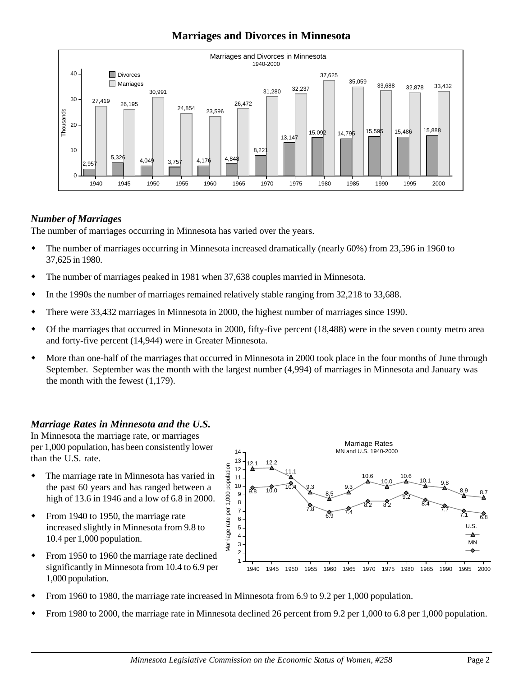# **Marriages and Divorces in Minnesota**



# *Number of Marriages*

The number of marriages occurring in Minnesota has varied over the years.

- The number of marriages occurring in Minnesota increased dramatically (nearly 60%) from 23,596 in 1960 to 37,625 in 1980.
- The number of marriages peaked in 1981 when 37,638 couples married in Minnesota.
- In the 1990s the number of marriages remained relatively stable ranging from 32,218 to 33,688.
- There were 33,432 marriages in Minnesota in 2000, the highest number of marriages since 1990.
- Of the marriages that occurred in Minnesota in 2000, fifty-five percent (18,488) were in the seven county metro area and forty-five percent (14,944) were in Greater Minnesota.
- More than one-half of the marriages that occurred in Minnesota in 2000 took place in the four months of June through September. September was the month with the largest number (4,994) of marriages in Minnesota and January was the month with the fewest (1,179).

# *Marriage Rates in Minnesota and the U.S.*

In Minnesota the marriage rate, or marriages per 1,000 population, has been consistently lower than the U.S. rate.

- The marriage rate in Minnesota has varied in the past 60 years and has ranged between a high of 13.6 in 1946 and a low of 6.8 in 2000.
- From 1940 to 1950, the marriage rate increased slightly in Minnesota from 9.8 to 10.4 per 1,000 population.
- From 1950 to 1960 the marriage rate declined significantly in Minnesota from 10.4 to 6.9 per 1,000 population.



- From 1960 to 1980, the marriage rate increased in Minnesota from 6.9 to 9.2 per 1,000 population.
- From 1980 to 2000, the marriage rate in Minnesota declined 26 percent from 9.2 per 1,000 to 6.8 per 1,000 population.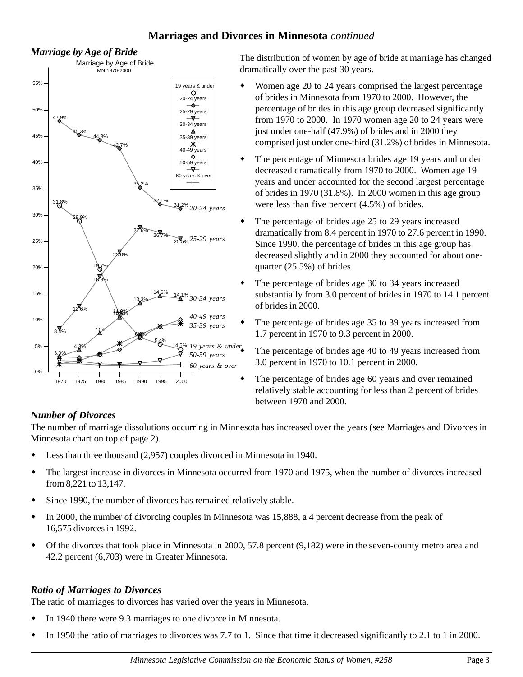# **Marriages and Divorces in Minnesota** *continued*



*Marriage by Age of Bride* The distribution of women by age of bride at marriage has changed dramatically over the past 30 years.

- Women age 20 to 24 years comprised the largest percentage of brides in Minnesota from 1970 to 2000. However, the percentage of brides in this age group decreased significantly from 1970 to 2000. In 1970 women age 20 to 24 years were just under one-half (47.9%) of brides and in 2000 they comprised just under one-third (31.2%) of brides in Minnesota.
- The percentage of Minnesota brides age 19 years and under decreased dramatically from 1970 to 2000. Women age 19 years and under accounted for the second largest percentage of brides in 1970 (31.8%). In 2000 women in this age group were less than five percent (4.5%) of brides.
- The percentage of brides age 25 to 29 years increased dramatically from 8.4 percent in 1970 to 27.6 percent in 1990. Since 1990, the percentage of brides in this age group has decreased slightly and in 2000 they accounted for about onequarter (25.5%) of brides.
- The percentage of brides age 30 to 34 years increased substantially from 3.0 percent of brides in 1970 to 14.1 percent of brides in 2000.
	- The percentage of brides age 35 to 39 years increased from 1.7 percent in 1970 to 9.3 percent in 2000.

 The percentage of brides age 40 to 49 years increased from 3.0 percent in 1970 to 10.1 percent in 2000.

 The percentage of brides age 60 years and over remained relatively stable accounting for less than 2 percent of brides between 1970 and 2000.

# *Number of Divorces*

The number of marriage dissolutions occurring in Minnesota has increased over the years (see Marriages and Divorces in Minnesota chart on top of page 2).

- Less than three thousand (2,957) couples divorced in Minnesota in 1940.
- The largest increase in divorces in Minnesota occurred from 1970 and 1975, when the number of divorces increased from 8,221 to 13,147.
- Since 1990, the number of divorces has remained relatively stable.
- In 2000, the number of divorcing couples in Minnesota was 15,888, a 4 percent decrease from the peak of 16,575 divorces in 1992.
- Of the divorces that took place in Minnesota in 2000, 57.8 percent (9,182) were in the seven-county metro area and 42.2 percent (6,703) were in Greater Minnesota.

# *Ratio of Marriages to Divorces*

The ratio of marriages to divorces has varied over the years in Minnesota.

- In 1940 there were 9.3 marriages to one divorce in Minnesota.
- In 1950 the ratio of marriages to divorces was 7.7 to 1. Since that time it decreased significantly to 2.1 to 1 in 2000.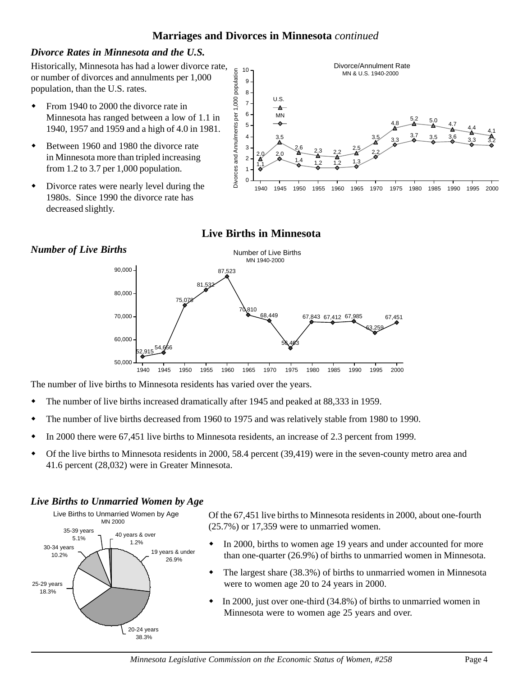# **Marriages and Divorces in Minnesota** *continued*

# *Divorce Rates in Minnesota and the U.S.*

Historically, Minnesota has had a lower divorce rate, or number of divorces and annulments per 1,000 population, than the U.S. rates.

- From 1940 to 2000 the divorce rate in Minnesota has ranged between a low of 1.1 in 1940, 1957 and 1959 and a high of 4.0 in 1981.
- Between 1960 and 1980 the divorce rate in Minnesota more than tripled increasing from 1.2 to 3.7 per 1,000 population.
- Divorce rates were nearly level during the 1980s. Since 1990 the divorce rate has decreased slightly.



# **Live Births in Minnesota**



The number of live births to Minnesota residents has varied over the years.

- The number of live births increased dramatically after 1945 and peaked at 88,333 in 1959.
- The number of live births decreased from 1960 to 1975 and was relatively stable from 1980 to 1990.
- In 2000 there were 67,451 live births to Minnesota residents, an increase of 2.3 percent from 1999.
- Of the live births to Minnesota residents in 2000, 58.4 percent (39,419) were in the seven-county metro area and 41.6 percent (28,032) were in Greater Minnesota.

# *Live Births to Unmarried Women by Age*



Of the 67,451 live births to Minnesota residents in 2000, about one-fourth (25.7%) or 17,359 were to unmarried women.

- In 2000, births to women age 19 years and under accounted for more than one-quarter (26.9%) of births to unmarried women in Minnesota.
- The largest share (38.3%) of births to unmarried women in Minnesota were to women age 20 to 24 years in 2000.
- In 2000, just over one-third (34.8%) of births to unmarried women in Minnesota were to women age 25 years and over.